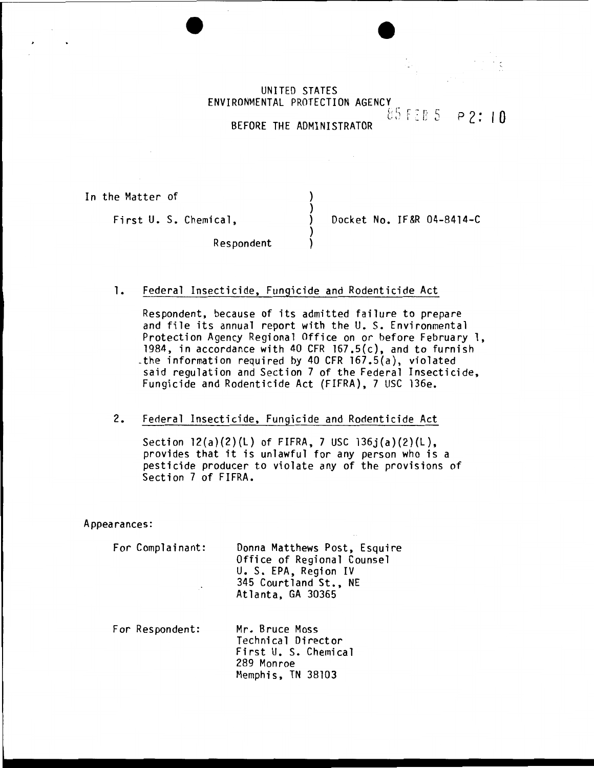UNITED STATES ENVIRONMENTAL PROTECTION AGENCY  $85 FEB 5 P2:10$ 

BEFORE THE ADMINISTRATOR

) )

)

In the Matter of

First U. S. Chemical,  $\overrightarrow{)}$  Docket No. IF&R 04-8414-C

**Respondent** 

1. Federal Insecticide, Fungicide and Rodenticide Act

Respondent, because of its admitted failure to prepare and file its annual report with the U. S. Environmental Protection Agency Regional Office on or before February 1, 1984, in accordance with 40 CFR 167.5(c), and to furnish -the information required by 40 CFR 167.5(a), violated said regulation and Section 7 of the Federal Insecticide, Fungicide and Rodenticide Act (FIFRA), 7 USC 136e.

2. Federal Insecticide, Fungicide and Rodenticide Act

Section  $12(a)(2)(L)$  of FIFRA, 7 USC  $136j(a)(2)(L)$ , provides that it is unlawful for any person who is a pesticide producer to violate any of the provisions of Section 7 of FIFRA.

Appearances:

For Complainant:

Donna Matthews Post, Esquire Office of Regional Counsel U. S. EPA, Region IV 345 Courtland St., NE Atlanta, GA 30365

For Respondent: Mr. Bruce Moss Technical Director First U. S. Chemical 289 Monroe Memphis, TN 38103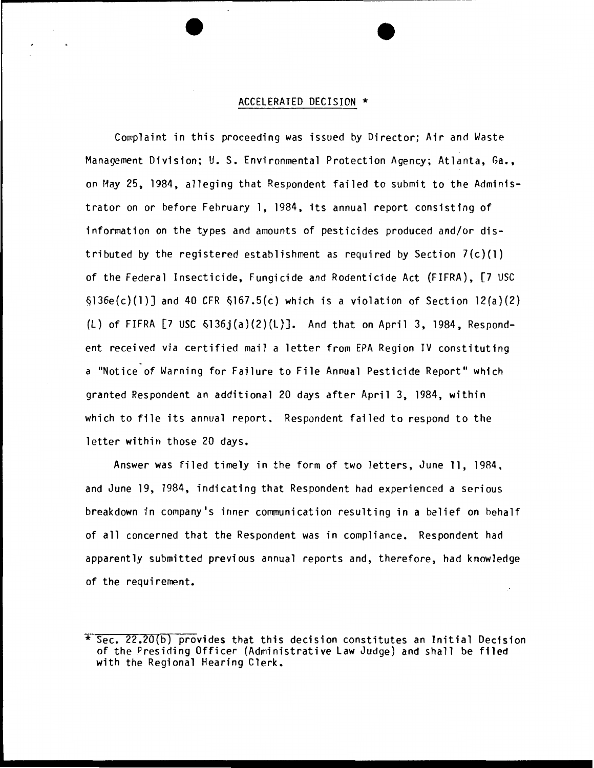## ACCELERATED DECISION \*

Complaint in this proceeding was issued by Director; Air and Waste Management Division; U. S. Environmental Protection Agency; Atlanta, Ga., on May 25, 1984, alleging that Respondent failed to submit to the Administrator on or before February 1, 1984, its annual report consisting of information on the types and amounts of pesticides produced and/or distributed by the registered establishment as required by Section  $7(c)(1)$ of the Federal Insecticide, Fungicide and Rodenticide Act (FIFRA), [7 USC  $\delta$ 136e(c)(1)] and 40 CFR  $\delta$ 167.5(c) which is a violation of Section 12(a)(2) (L) of FIFRA  $[7 \text{ USC } $136j(a)(2)(L)]$ . And that on April 3, 1984, Respondent received via certified mail a letter from EPA Region IV constituting a "Notice of Warning for Failure to File Annual Pesticide Report" which granted Respondent an additional 20 days after April 3, 1984, within which to file its annual report. Respondent failed to respond to the letter within those 20 days.

Answer was filed timely in the form of two letters, June 11, 1984, and June 19, 1984, indicating that Respondent had experienced a serious breakdown in company•s inner communication resulting in a belief on hehalf of all concerned that the Respondent was in compliance. Respondent had apparently submitted previous annual reports and, therefore, had knowledge of the requirement.

<sup>\*</sup> Sec. 22.20(b) provides that this decision constitutes an Initial Decision of the Presiding Officer (Administrative law Judge) and shall be filed with the Regional Hearing Clerk.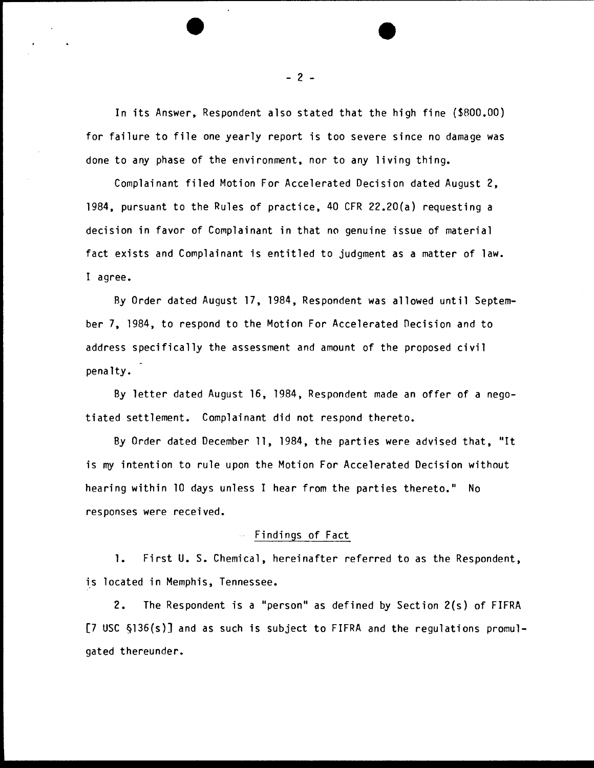In its Answer, Respondent also stated that the high fine (\$800.00) for failure to file one yearly report is too severe since no damage was done to any phase of the environment, nor to any living thing.

Complainant filed Motion For Accelerated Decision dated August 2, 1984, pursuant to the Rules of practice, 40 CFR 22.20(a) requesting a decision in favor of Complainant in that no genuine issue of material fact exists and Complainant is entitled to judgment as a matter of law. I agree.

By Order dated August 17, 1984, Respondent was allowed until September 7, 1984, to respond to the Motion For Accelerated Decision and to address specifically the assessment and amount of the proposed civil penalty.

By letter dated August 16, 1984, Respondent made an offer of a negotiated settlement. Complainant did not respond thereto.

By Order dated December 11, 1984, the parties were advised that, "It is *mY* intention to rule upon the Motion For Accelerated Decision without hearing within 10 days unless I hear from the parties thereto." No responses were received.

## Findings of Fact

1. First U.S. Chemical, hereinafter referred to as the Respondent, is located in Memphis, Tennessee.

2. The Respondent is a "person" as defined by Section 2(s) of FIFRA [7 USC §136(s)] and as such is subject to FIFRA and the regulations promulgated thereunder.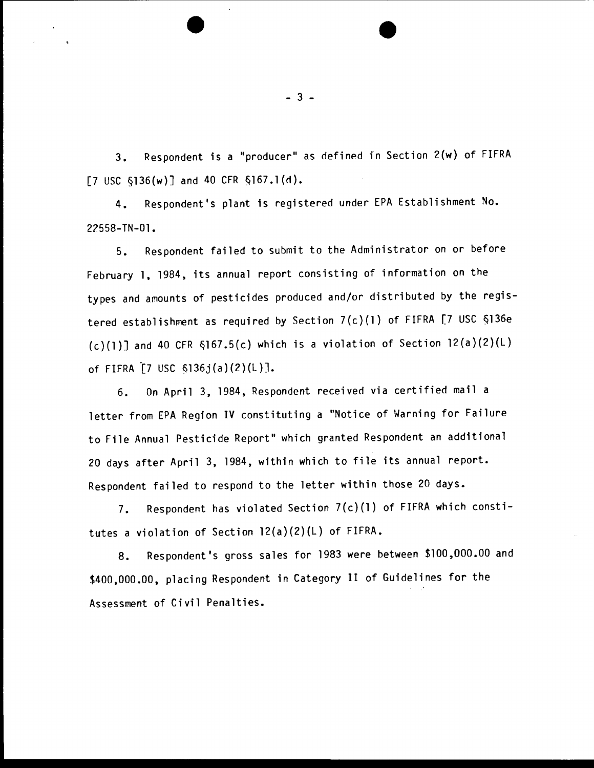3. Respondent is a "producer" as defined in Section 2(w) of FIFRA [7 USC  $\S$ 136 $(w)$ ] and 40 CFR  $\S$ 167.1 $(d)$ .

4. Respondent's plant is registered under EPA Establishment No. 22558-TN-01.

5. Respondent failed to submit to the Administrator on or before February 1, 1984, its annual report consisting of information on the types and amounts of pesticides produced and/or distributed by the registered establishment as required by Section 7(c)(l) of FIFRA [7 USC §136e  $(c)(1)$ ] and 40 CFR §167.5(c) which is a violation of Section 12(a)(2)(L) of FIFRA [7 USC  $$136j(a)(2)(L)$ ].

6. On April 3, 1984, Respondent received via certified mail a letter from EPA Region IV constituting a "Notice of Warning for Failure to File Annual Pesticide Report" which granted Respondent an additional 20 days after April 3, 1984, within which to file its annual report. Respondent failed to respond to the letter within those 20 days.

7. Respondent has violated Section 7(c)(l) of FIFRA which constitutes a violation of Section 12(a)(2)(L) of FIFRA.

8. Respondent's gross sales for 1983 were between \$100,000.00 and \$400,000.00, placing Respondent in Category II of Guidelines for the Assessment of Civil Penalties.

- 3 -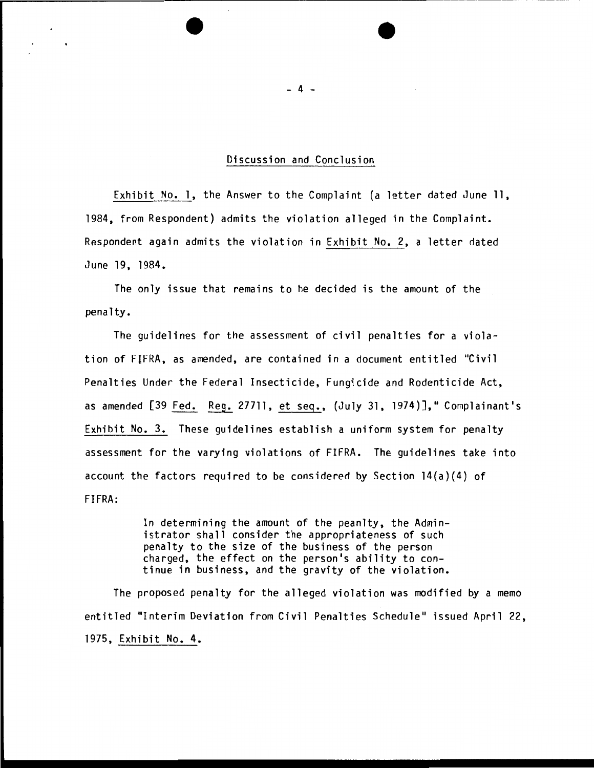## Discussion and Conclusion

Exhibit No. 1, the Answer to the Complaint (a letter dated June 11, 1984, from Respondent) admits the violation alleged in the Complaint. Respondent again admits the violation in Exhibit No. 2, a letter dated June 19, 1984.

The only issue that remains to he decided is the amount of the penalty.

The guidelines for the assessment of civil penalties for a violation of FlFRA, as amended, are contained in a document entitled "Civil Penalties Under the Federal Insecticide, Fungicide and Rodenticide Act, as amended [39 Fed. Reg. 27711, et seq., (July 31, 1974)]," Complainant's Exhibit No. 3. These guidelines establish a uniform system for penalty assessment for the varying violations of FIFRA. The guidelines take into account the factors required to be considered by Section  $14(a)(4)$  of FIFRA:

> In determining the amount of the peanlty, the Administrator shall consider the appropriateness of such penalty to the size of the business of the person charged, the effect on the person's ability to continue in business, and the gravity of the violation.

The proposed penalty for the alleged violation was modified by a memo entitled "Interim Deviation from Civil Penalties Schedule" issued April 22, 1975, Exhibit No. 4.

- 4 -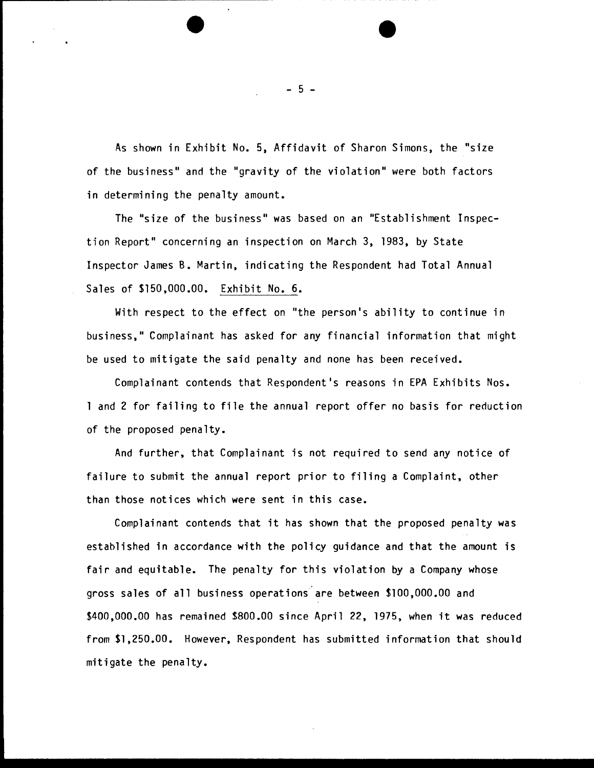As shown in Exhibit No. 5, Affidavit of Sharon Simons, the "size of the business" and the "gravity of the violation" were both factors in determining the penalty amount.

The "size of the business" was based on an "Establishment Inspection Report" concerning an inspection on March 3, 1983, by State Inspector James B. Martin, indicating the Respondent had Total Annual Sales of \$150,000.00. Exhibit No. 6.

With respect to the effect on "the person's ability to continue in business," Complainant has asked for any financial information that might be used to mitigate the said penalty and none has been received.

Complainant contends that Respondent's reasons in EPA Exhibits Nos. 1 and 2 for failing to file the annual report offer no basis for reduction of the proposed penalty.

And further, that Complainant is not required to send any notice of failure to submit the annual report prior to filing a Complaint, other than those notices which were sent in this case.

Complainant contends that it has shown that the proposed penalty was established in accordance with the policy guidance and that the amount is fair and equitable. The penalty for this violation by a Company whose gross sales of all business operations are between \$100,000.00 and \$400,000.00 has remained \$800.00 since April 22, 1975, when it was reduced from \$1,250.00. However, Respondent has submitted information that should mitigate the penalty.

- 5 -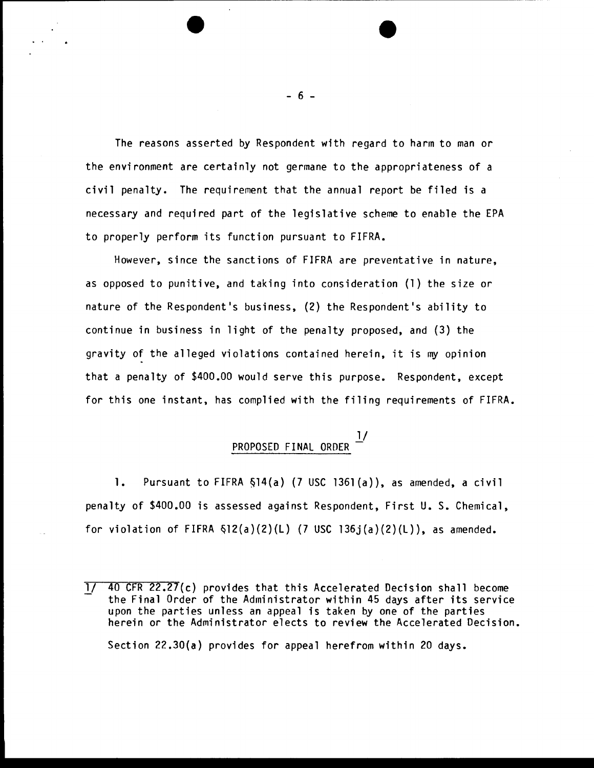The reasons asserted by Respondent with regard to harm to man or the environment are certainly not germane to the appropriateness of a civil penalty. The requirement that the annual report be filed is a necessary and required part of the legislative scheme to enable the EPA to properly perform its function pursuant to FIFRA.

However, since the sanctions of FIFRA are preventative in nature, as opposed to punitive, and taking into consideration (1) the size or nature of the Respondent's business, (2) the Respondent's ability to continue in business in light of the penalty proposed, and (3) the gravity of the alleged violations contained herein, it is my opinion that a penalty of \$400.00 would serve this purpose. Respondent, except for this one instant, has complied with the filing requirements of FIFRA.

## l/<br>PROPOSED FINAL ORDER

1. Pursuant to FIFRA &14(a) (7 USC 1361 (a)), as amended, a civil penalty of \$400.00 is assessed against Respondent, First U.S. Chemical, for violation of FIFRA  $\S$ 12(a)(2)(L) (7 USC 136j(a)(2)(L)), as amended.

- 6 -

*lJ* 40 CFR 22.27(c) provides that this Accelerated Decision shall become the Final Order of the Administrator within 45 days after its service upon the parties unless an appeal is taken by one of the parties herein or the Administrator elects to review the Accelerated Decision. Section 22.30(a) provides for appeal herefrom within 20 days.